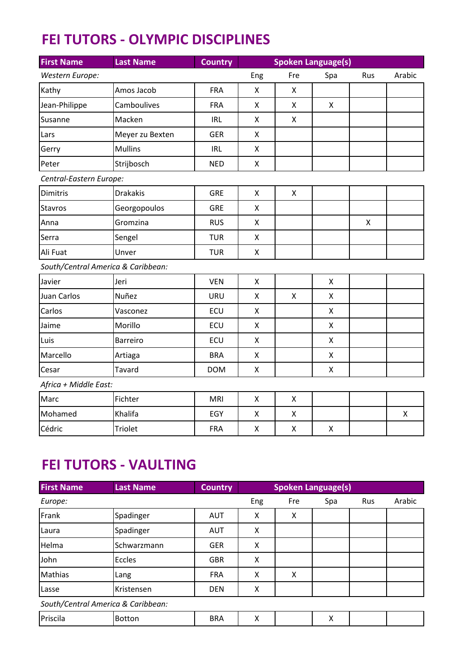## **FEI TUTORS - OLYMPIC DISCIPLINES**

| <b>First Name</b>                  | <b>Last Name</b> | <b>Country</b> | <b>Spoken Language(s)</b> |                    |                           |              |        |
|------------------------------------|------------------|----------------|---------------------------|--------------------|---------------------------|--------------|--------|
| Western Europe:                    |                  |                | Eng                       | Fre                | Spa                       | Rus          | Arabic |
| Kathy                              | Amos Jacob       | <b>FRA</b>     | X                         | X                  |                           |              |        |
| Jean-Philippe                      | Camboulives      | <b>FRA</b>     | Χ                         | X                  | $\boldsymbol{\mathsf{X}}$ |              |        |
| Susanne                            | Macken           | <b>IRL</b>     | X                         | Χ                  |                           |              |        |
| Lars                               | Meyer zu Bexten  | <b>GER</b>     | X                         |                    |                           |              |        |
| Gerry                              | <b>Mullins</b>   | <b>IRL</b>     | X                         |                    |                           |              |        |
| Peter                              | Strijbosch       | <b>NED</b>     | X                         |                    |                           |              |        |
| Central-Eastern Europe:            |                  |                |                           |                    |                           |              |        |
| <b>Dimitris</b>                    | <b>Drakakis</b>  | <b>GRE</b>     | X                         | Χ                  |                           |              |        |
| <b>Stavros</b>                     | Georgopoulos     | <b>GRE</b>     | X                         |                    |                           |              |        |
| Anna                               | Gromzina         | <b>RUS</b>     | X                         |                    |                           | $\mathsf{x}$ |        |
| Serra                              | Sengel           | <b>TUR</b>     | X                         |                    |                           |              |        |
| Ali Fuat                           | Unver            | <b>TUR</b>     | X                         |                    |                           |              |        |
| South/Central America & Caribbean: |                  |                |                           |                    |                           |              |        |
| Javier                             | Jeri             | <b>VEN</b>     | X                         |                    | X                         |              |        |
| <b>Juan Carlos</b>                 | Nuñez            | URU            | Χ                         | Χ                  | X                         |              |        |
| Carlos                             | Vasconez         | ECU            | Χ                         |                    | $\boldsymbol{\mathsf{X}}$ |              |        |
| Jaime                              | Morillo          | ECU            | X                         |                    | X                         |              |        |
| Luis                               | <b>Barreiro</b>  | ECU            | X                         |                    | $\pmb{\times}$            |              |        |
| Marcello                           | Artiaga          | <b>BRA</b>     | $\pmb{\mathsf{X}}$        |                    | $\pmb{\times}$            |              |        |
| Cesar                              | Tavard           | <b>DOM</b>     | X                         |                    | $\pmb{\times}$            |              |        |
| Africa + Middle East:              |                  |                |                           |                    |                           |              |        |
| Marc                               | Fichter          | <b>MRI</b>     | X                         | X                  |                           |              |        |
| Mohamed                            | Khalifa          | EGY            | X                         | $\mathsf X$        |                           |              | Χ      |
| Cédric                             | Triolet          | <b>FRA</b>     | Χ                         | $\pmb{\mathsf{X}}$ | $\boldsymbol{\mathsf{X}}$ |              |        |

## **FEI TUTORS - VAULTING**

| <b>First Name</b>                  | <b>Last Name</b> | <b>Country</b> | <b>Spoken Language(s)</b> |     |     |     |        |
|------------------------------------|------------------|----------------|---------------------------|-----|-----|-----|--------|
| Europe:                            |                  |                | Eng                       | Fre | Spa | Rus | Arabic |
| Frank                              | Spadinger        | <b>AUT</b>     | Χ                         | X   |     |     |        |
| Laura                              | Spadinger        | <b>AUT</b>     | X                         |     |     |     |        |
| Helma                              | Schwarzmann      | <b>GER</b>     | X                         |     |     |     |        |
| John                               | Eccles           | <b>GBR</b>     | X                         |     |     |     |        |
| <b>Mathias</b>                     | Lang             | <b>FRA</b>     | X                         | X   |     |     |        |
| Lasse                              | Kristensen       | <b>DEN</b>     | X                         |     |     |     |        |
| South/Central America & Caribbean: |                  |                |                           |     |     |     |        |
| Priscila                           | <b>Botton</b>    | <b>BRA</b>     | Χ                         |     | Χ   |     |        |